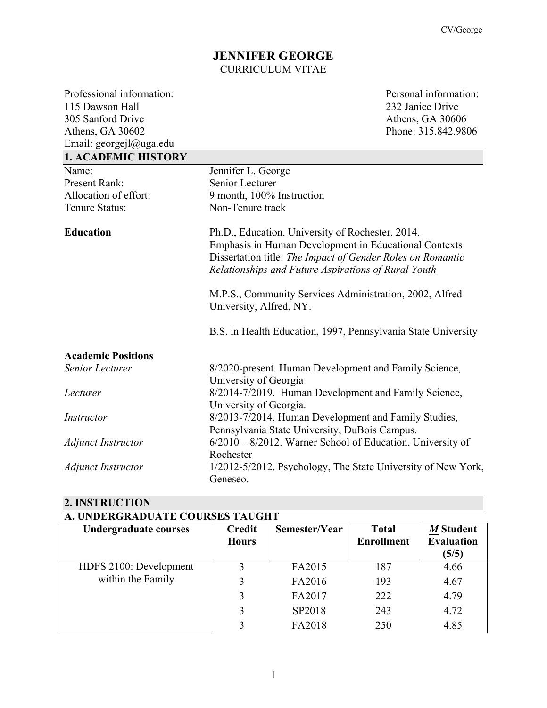## **JENNIFER GEORGE** CURRICULUM VITAE

Professional information: Personal information: 115 Dawson Hall 232 Janice Drive<br>305 Sanford Drive Athens, GA 3060 Athens, GA 30602 Phone: 315.842.9806 Email: georgejl@uga.edu

Athens, GA 30606

| <b>1. ACADEMIC HISTORY</b> |                                                                                                                                                                                                                                |
|----------------------------|--------------------------------------------------------------------------------------------------------------------------------------------------------------------------------------------------------------------------------|
| Name:                      | Jennifer L. George                                                                                                                                                                                                             |
| <b>Present Rank:</b>       | Senior Lecturer                                                                                                                                                                                                                |
| Allocation of effort:      | 9 month, 100% Instruction                                                                                                                                                                                                      |
| Tenure Status:             | Non-Tenure track                                                                                                                                                                                                               |
| <b>Education</b>           | Ph.D., Education. University of Rochester. 2014.<br>Emphasis in Human Development in Educational Contexts<br>Dissertation title: The Impact of Gender Roles on Romantic<br>Relationships and Future Aspirations of Rural Youth |
|                            | M.P.S., Community Services Administration, 2002, Alfred<br>University, Alfred, NY.                                                                                                                                             |
|                            | B.S. in Health Education, 1997, Pennsylvania State University                                                                                                                                                                  |
| <b>Academic Positions</b>  |                                                                                                                                                                                                                                |
| <b>Senior Lecturer</b>     | 8/2020-present. Human Development and Family Science,                                                                                                                                                                          |
|                            | University of Georgia                                                                                                                                                                                                          |
| Lecturer                   | 8/2014-7/2019. Human Development and Family Science,                                                                                                                                                                           |
|                            | University of Georgia.                                                                                                                                                                                                         |
| Instructor                 | 8/2013-7/2014. Human Development and Family Studies,                                                                                                                                                                           |
|                            | Pennsylvania State University, DuBois Campus.                                                                                                                                                                                  |
| <b>Adjunct Instructor</b>  | $6/2010 - 8/2012$ . Warner School of Education, University of                                                                                                                                                                  |
|                            | Rochester                                                                                                                                                                                                                      |
| <b>Adjunct Instructor</b>  | 1/2012-5/2012. Psychology, The State University of New York,                                                                                                                                                                   |
|                            | Geneseo.                                                                                                                                                                                                                       |

# **2. INSTRUCTION**

| A. UNDERGRADUATE COURSES TAUGHT |                               |               |                                   |                                         |
|---------------------------------|-------------------------------|---------------|-----------------------------------|-----------------------------------------|
| <b>Undergraduate courses</b>    | <b>Credit</b><br><b>Hours</b> | Semester/Year | <b>Total</b><br><b>Enrollment</b> | M Student<br><b>Evaluation</b><br>(5/5) |
| HDFS 2100: Development          |                               | FA2015        | 187                               | 4.66                                    |
| within the Family               | 3                             | FA2016        | 193                               | 4.67                                    |
|                                 | 3                             | FA2017        | 222                               | 4.79                                    |
|                                 | 3                             | SP2018        | 243                               | 4.72                                    |
|                                 | 3                             | FA2018        | 250                               | 4.85                                    |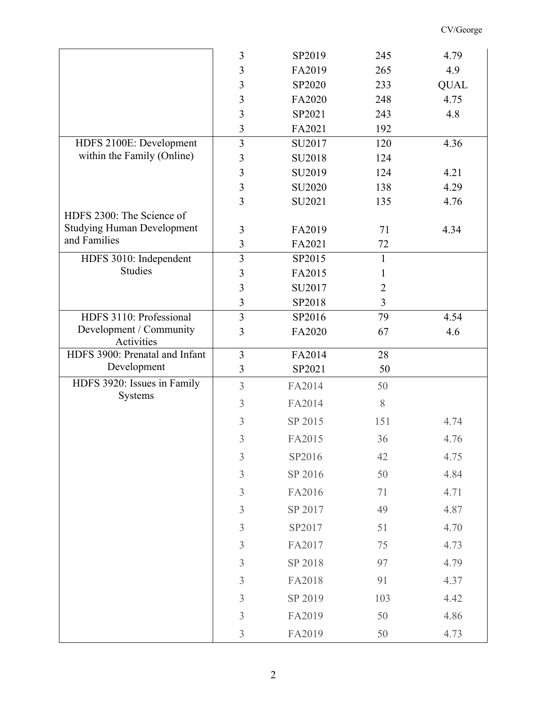|                                                   | $\mathfrak{Z}$ | SP2019  | 245            | 4.79        |
|---------------------------------------------------|----------------|---------|----------------|-------------|
|                                                   | 3              | FA2019  | 265            | 4.9         |
|                                                   | 3              | SP2020  | 233            | <b>QUAL</b> |
|                                                   | 3              | FA2020  | 248            | 4.75        |
|                                                   | 3              | SP2021  | 243            | 4.8         |
|                                                   | 3              | FA2021  | 192            |             |
| HDFS 2100E: Development                           | $\overline{3}$ | SU2017  | 120            | 4.36        |
| within the Family (Online)                        | 3              | SU2018  | 124            |             |
|                                                   | 3              | SU2019  | 124            | 4.21        |
|                                                   | 3              | SU2020  | 138            | 4.29        |
|                                                   | 3              | SU2021  | 135            | 4.76        |
| HDFS 2300: The Science of                         |                |         |                |             |
| <b>Studying Human Development</b><br>and Families | 3              | FA2019  | 71             | 4.34        |
|                                                   | $\mathfrak{Z}$ | FA2021  | 72             |             |
| HDFS 3010: Independent                            | $\overline{3}$ | SP2015  | $\mathbf{1}$   |             |
| <b>Studies</b>                                    | 3              | FA2015  | 1              |             |
|                                                   | 3              | SU2017  | $\overline{2}$ |             |
|                                                   | 3              | SP2018  | 3              |             |
| HDFS 3110: Professional                           | $\overline{3}$ | SP2016  | 79             | 4.54        |
| Development / Community<br>Activities             | 3              | FA2020  | 67             | 4.6         |
|                                                   |                |         |                |             |
| HDFS 3900: Prenatal and Infant                    | 3              | FA2014  | 28             |             |
| Development                                       | 3              | SP2021  | 50             |             |
| HDFS 3920: Issues in Family                       | $\overline{3}$ | FA2014  | 50             |             |
| Systems                                           | 3              | FA2014  | 8              |             |
|                                                   | $\mathfrak{Z}$ | SP 2015 | 151            | 4.74        |
|                                                   | 3              | FA2015  | 36             | 4.76        |
|                                                   | $\mathfrak{Z}$ | SP2016  | 42             | 4.75        |
|                                                   | $\mathfrak{Z}$ | SP 2016 | 50             | 4.84        |
|                                                   | $\mathfrak{Z}$ | FA2016  | 71             | 4.71        |
|                                                   | $\mathfrak{Z}$ | SP 2017 | 49             | 4.87        |
|                                                   | $\mathfrak{Z}$ | SP2017  | 51             | 4.70        |
|                                                   | $\mathfrak{Z}$ | FA2017  | 75             | 4.73        |
|                                                   | $\mathfrak{Z}$ | SP 2018 | 97             | 4.79        |
|                                                   | $\mathfrak{Z}$ | FA2018  | 91             | 4.37        |
|                                                   | $\mathfrak{Z}$ | SP 2019 | 103            | 4.42        |
|                                                   | $\mathfrak{Z}$ | FA2019  | 50             | 4.86        |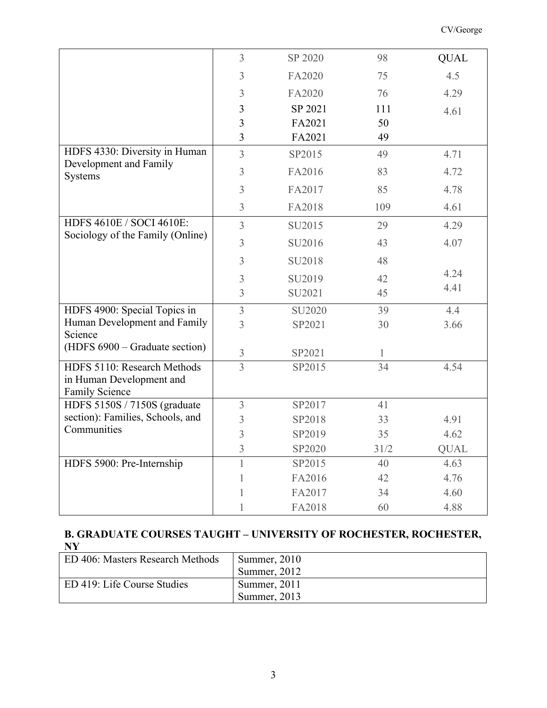|                                   | $\overline{3}$ | SP 2020 | 98   | <b>QUAL</b> |
|-----------------------------------|----------------|---------|------|-------------|
|                                   | 3              | FA2020  | 75   | 4.5         |
|                                   | 3              | FA2020  | 76   | 4.29        |
|                                   | 3              | SP 2021 | 111  | 4.61        |
|                                   | 3              | FA2021  | 50   |             |
|                                   | 3              | FA2021  | 49   |             |
| HDFS 4330: Diversity in Human     | $\overline{3}$ | SP2015  | 49   | 4.71        |
| Development and Family<br>Systems | 3              | FA2016  | 83   | 4.72        |
|                                   | 3              | FA2017  | 85   | 4.78        |
|                                   | 3              | FA2018  | 109  | 4.61        |
| HDFS 4610E / SOCI 4610E:          |                |         |      |             |
| Sociology of the Family (Online)  | $\overline{3}$ | SU2015  | 29   | 4.29        |
|                                   | 3              | SU2016  | 43   | 4.07        |
|                                   | 3              | SU2018  | 48   |             |
|                                   | 3              | SU2019  | 42   | 4.24        |
|                                   | 3              | SU2021  | 45   | 4.41        |
| HDFS 4900: Special Topics in      | 3              | SU2020  | 39   | 4.4         |
| Human Development and Family      | 3              | SP2021  | 30   | 3.66        |
| Science                           |                |         |      |             |
| (HDFS 6900 – Graduate section)    | 3              | SP2021  | 1    |             |
| HDFS 5110: Research Methods       | $\overline{3}$ | SP2015  | 34   | 4.54        |
| in Human Development and          |                |         |      |             |
| <b>Family Science</b>             |                |         |      |             |
| HDFS 5150S / 7150S (graduate      | 3              | SP2017  | 41   |             |
| section): Families, Schools, and  | $\mathfrak{Z}$ | SP2018  | 33   | 4.91        |
| Communities                       | 3              | SP2019  | 35   | 4.62        |
|                                   | 3              | SP2020  | 31/2 | <b>QUAL</b> |
| HDFS 5900: Pre-Internship         |                | SP2015  | 40   | 4.63        |
|                                   |                | FA2016  | 42   | 4.76        |
|                                   |                | FA2017  | 34   | 4.60        |
|                                   |                | FA2018  | 60   | 4.88        |

## **B. GRADUATE COURSES TAUGHT – UNIVERSITY OF ROCHESTER, ROCHESTER, NY**

| ED 406: Masters Research Methods | Summer, $2010$ |
|----------------------------------|----------------|
|                                  | Summer, 2012   |
| ED 419: Life Course Studies      | Summer, 2011   |
|                                  | Summer, $2013$ |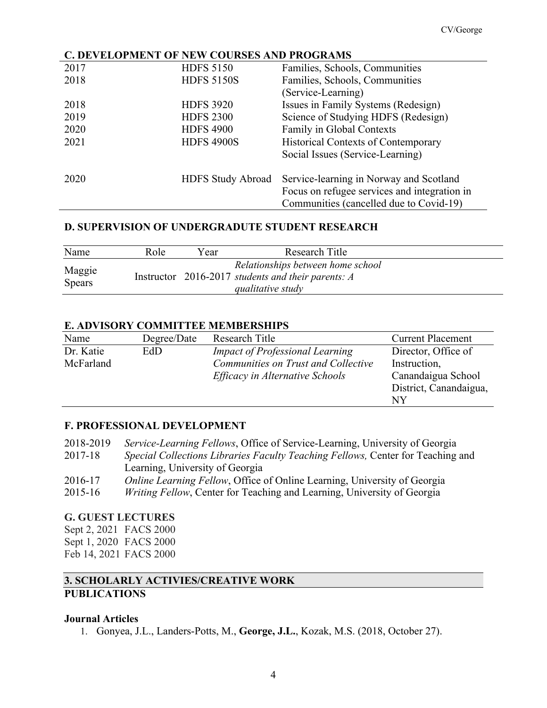## **C. DEVELOPMENT OF NEW COURSES AND PROGRAMS**

| 2017 | <b>HDFS 5150</b>         | Families, Schools, Communities               |
|------|--------------------------|----------------------------------------------|
| 2018 | <b>HDFS 5150S</b>        | Families, Schools, Communities               |
|      |                          | (Service-Learning)                           |
| 2018 | <b>HDFS 3920</b>         | Issues in Family Systems (Redesign)          |
| 2019 | <b>HDFS 2300</b>         | Science of Studying HDFS (Redesign)          |
| 2020 | <b>HDFS 4900</b>         | Family in Global Contexts                    |
| 2021 | <b>HDFS 4900S</b>        | <b>Historical Contexts of Contemporary</b>   |
|      |                          | Social Issues (Service-Learning)             |
|      |                          |                                              |
| 2020 | <b>HDFS Study Abroad</b> | Service-learning in Norway and Scotland      |
|      |                          | Focus on refugee services and integration in |
|      |                          | Communities (cancelled due to Covid-19)      |

#### **D. SUPERVISION OF UNDERGRADUTE STUDENT RESEARCH**

| Name                    | Role | Year | Research Title                                                                                                 |
|-------------------------|------|------|----------------------------------------------------------------------------------------------------------------|
| Maggie<br><b>Spears</b> |      |      | Relationships between home school<br>Instructor 2016-2017 students and their parents: $A$<br>qualitative study |

#### **E. ADVISORY COMMITTEE MEMBERSHIPS**

| Name      | Degree/Date | Research Title                         | <b>Current Placement</b> |
|-----------|-------------|----------------------------------------|--------------------------|
| Dr. Katie | EdD         | <b>Impact of Professional Learning</b> | Director, Office of      |
| McFarland |             | Communities on Trust and Collective    | Instruction,             |
|           |             | Efficacy in Alternative Schools        | Canandaigua School       |
|           |             |                                        | District, Canandaigua,   |
|           |             |                                        | NY                       |

## **F. PROFESSIONAL DEVELOPMENT**

2018-2019 *Service-Learning Fellows*, Office of Service-Learning, University of Georgia 2017-18 *Special Collections Libraries Faculty Teaching Fellows,* Center for Teaching and Learning, University of Georgia 2016-17 *Online Learning Fellow*, Office of Online Learning, University of Georgia 2015-16 *Writing Fellow*, Center for Teaching and Learning, University of Georgia

#### **G. GUEST LECTURES**

Sept 2, 2021 FACS 2000 Sept 1, 2020 FACS 2000 Feb 14, 2021 FACS 2000

## **3. SCHOLARLY ACTIVIES/CREATIVE WORK PUBLICATIONS**

#### **Journal Articles**

1. Gonyea, J.L., Landers-Potts, M., **George, J.L.**, Kozak, M.S. (2018, October 27).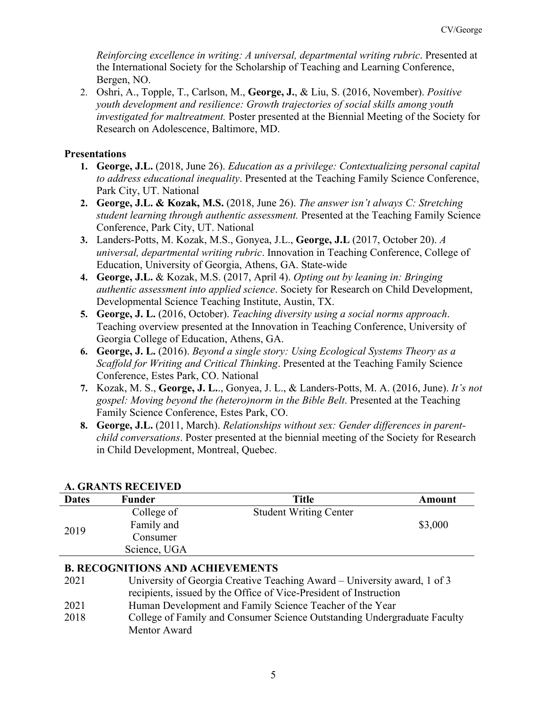*Reinforcing excellence in writing: A universal, departmental writing rubric*. Presented at the International Society for the Scholarship of Teaching and Learning Conference, Bergen, NO.

2. Oshri, A., Topple, T., Carlson, M., **George, J.**, & Liu, S. (2016, November). *Positive youth development and resilience: Growth trajectories of social skills among youth investigated for maltreatment.* Poster presented at the Biennial Meeting of the Society for Research on Adolescence, Baltimore, MD.

## **Presentations**

- **1. George, J.L.** (2018, June 26). *Education as a privilege: Contextualizing personal capital to address educational inequality*. Presented at the Teaching Family Science Conference, Park City, UT. National
- **2. George, J.L. & Kozak, M.S.** (2018, June 26). *The answer isn't always C: Stretching student learning through authentic assessment.* Presented at the Teaching Family Science Conference, Park City, UT. National
- **3.** Landers-Potts, M. Kozak, M.S., Gonyea, J.L., **George, J.L** (2017, October 20). *A universal, departmental writing rubric*. Innovation in Teaching Conference, College of Education, University of Georgia, Athens, GA. State-wide
- **4. George, J.L.** & Kozak, M.S. (2017, April 4). *Opting out by leaning in: Bringing authentic assessment into applied science*. Society for Research on Child Development, Developmental Science Teaching Institute, Austin, TX.
- **5. George, J. L.** (2016, October). *Teaching diversity using a social norms approach*. Teaching overview presented at the Innovation in Teaching Conference, University of Georgia College of Education, Athens, GA.
- **6. George, J. L.** (2016). *Beyond a single story: Using Ecological Systems Theory as a Scaffold for Writing and Critical Thinking*. Presented at the Teaching Family Science Conference, Estes Park, CO. National
- **7.** Kozak, M. S., **George, J. L.**., Gonyea, J. L., & Landers-Potts, M. A. (2016, June). *It's not gospel: Moving beyond the (hetero)norm in the Bible Belt*. Presented at the Teaching Family Science Conference, Estes Park, CO.
- **8. George, J.L.** (2011, March). *Relationships without sex: Gender differences in parentchild conversations*. Poster presented at the biennial meeting of the Society for Research in Child Development, Montreal, Quebec.

|              | A, GRAN IS RECEIVED |                               |         |  |
|--------------|---------------------|-------------------------------|---------|--|
| <b>Dates</b> | Funder              | <b>Title</b>                  | Amount  |  |
|              | College of          | <b>Student Writing Center</b> |         |  |
|              | Family and          |                               | \$3,000 |  |
|              | Consumer            |                               |         |  |
|              | Science, UGA        |                               |         |  |
| 2019         |                     |                               |         |  |

## **A. GRANTS RECEIVED**

## **B. RECOGNITIONS AND ACHIEVEMENTS**

- 2021 University of Georgia Creative Teaching Award University award, 1 of 3 recipients, issued by the Office of Vice-President of Instruction
- 2021 Human Development and Family Science Teacher of the Year
- 2018 College of Family and Consumer Science Outstanding Undergraduate Faculty Mentor Award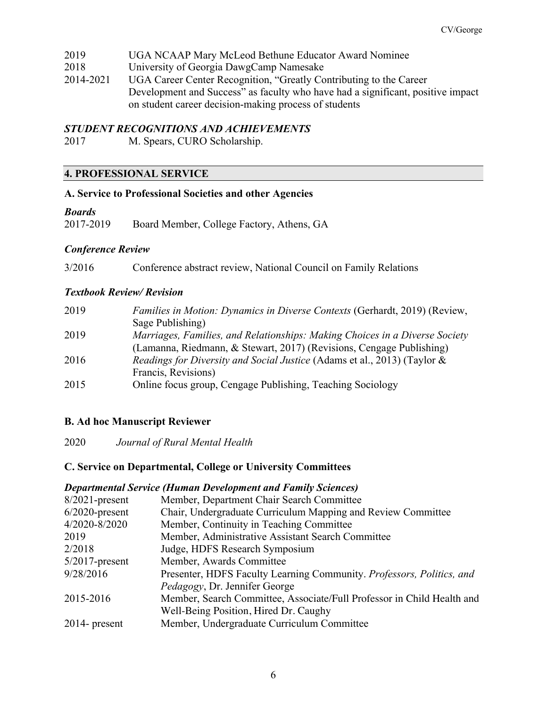- 2019 UGA NCAAP Mary McLeod Bethune Educator Award Nominee
- 2018 University of Georgia DawgCamp Namesake
- 2014-2021 UGA Career Center Recognition, "Greatly Contributing to the Career Development and Success" as faculty who have had a significant, positive impact on student career decision-making process of students

## *STUDENT RECOGNITIONS AND ACHIEVEMENTS*

2017 M. Spears, CURO Scholarship.

## **4. PROFESSIONAL SERVICE**

#### **A. Service to Professional Societies and other Agencies**

#### *Boards*

2017-2019 Board Member, College Factory, Athens, GA

#### *Conference Review*

3/2016 Conference abstract review, National Council on Family Relations

#### *Textbook Review/ Revision*

| 2019 | <i>Families in Motion: Dynamics in Diverse Contexts (Gerhardt, 2019) (Review,</i>   |
|------|-------------------------------------------------------------------------------------|
|      | Sage Publishing)                                                                    |
| 2019 | Marriages, Families, and Relationships: Making Choices in a Diverse Society         |
|      | (Lamanna, Riedmann, & Stewart, 2017) (Revisions, Cengage Publishing)                |
| 2016 | <i>Readings for Diversity and Social Justice (Adams et al., 2013) (Taylor &amp;</i> |
|      | Francis, Revisions)                                                                 |
| 2015 | Online focus group, Cengage Publishing, Teaching Sociology                          |

#### **B. Ad hoc Manuscript Reviewer**

2020 *Journal of Rural Mental Health*

#### **C. Service on Departmental, College or University Committees**

#### *Departmental Service (Human Development and Family Sciences)*

| $8/2021$ -present | Member, Department Chair Search Committee                              |
|-------------------|------------------------------------------------------------------------|
| $6/2020$ -present | Chair, Undergraduate Curriculum Mapping and Review Committee           |
| 4/2020-8/2020     | Member, Continuity in Teaching Committee                               |
| 2019              | Member, Administrative Assistant Search Committee                      |
| 2/2018            | Judge, HDFS Research Symposium                                         |
| $5/2017$ -present | Member, Awards Committee                                               |
| 9/28/2016         | Presenter, HDFS Faculty Learning Community. Professors, Politics, and  |
|                   | Pedagogy, Dr. Jennifer George                                          |
| 2015-2016         | Member, Search Committee, Associate/Full Professor in Child Health and |
|                   | Well-Being Position, Hired Dr. Caughy                                  |
| $2014$ - present  | Member, Undergraduate Curriculum Committee                             |
|                   |                                                                        |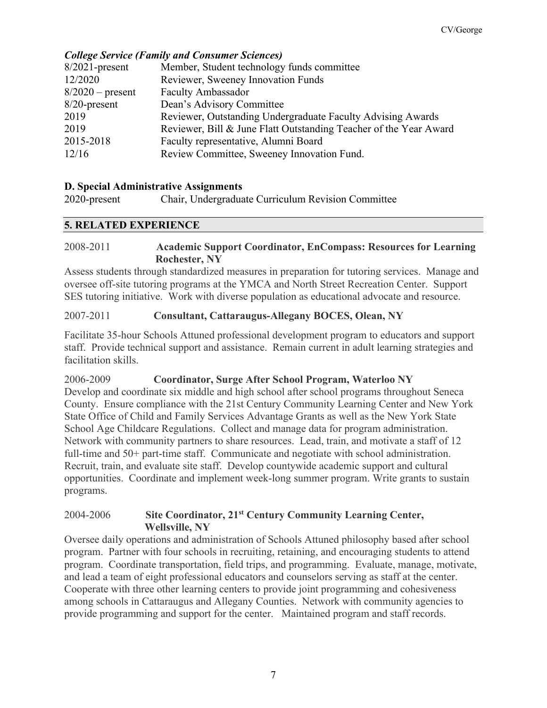## *College Service (Family and Consumer Sciences)*

| $8/2021$ -present  | Member, Student technology funds committee                        |
|--------------------|-------------------------------------------------------------------|
| 12/2020            | Reviewer, Sweeney Innovation Funds                                |
| $8/2020$ – present | <b>Faculty Ambassador</b>                                         |
| $8/20$ -present    | Dean's Advisory Committee                                         |
| 2019               | Reviewer, Outstanding Undergraduate Faculty Advising Awards       |
| 2019               | Reviewer, Bill & June Flatt Outstanding Teacher of the Year Award |
| 2015-2018          | Faculty representative, Alumni Board                              |
| 12/16              | Review Committee, Sweeney Innovation Fund.                        |
|                    |                                                                   |

#### **D. Special Administrative Assignments**

2020-present Chair, Undergraduate Curriculum Revision Committee

## **5. RELATED EXPERIENCE**

## 2008-2011 **Academic Support Coordinator, EnCompass: Resources for Learning Rochester, NY**

Assess students through standardized measures in preparation for tutoring services. Manage and oversee off-site tutoring programs at the YMCA and North Street Recreation Center. Support SES tutoring initiative. Work with diverse population as educational advocate and resource.

#### 2007-2011 **Consultant, Cattaraugus-Allegany BOCES, Olean, NY**

Facilitate 35-hour Schools Attuned professional development program to educators and support staff. Provide technical support and assistance. Remain current in adult learning strategies and facilitation skills.

## 2006-2009 **Coordinator, Surge After School Program, Waterloo NY**

Develop and coordinate six middle and high school after school programs throughout Seneca County. Ensure compliance with the 21st Century Community Learning Center and New York State Office of Child and Family Services Advantage Grants as well as the New York State School Age Childcare Regulations. Collect and manage data for program administration. Network with community partners to share resources. Lead, train, and motivate a staff of 12 full-time and 50+ part-time staff. Communicate and negotiate with school administration. Recruit, train, and evaluate site staff. Develop countywide academic support and cultural opportunities. Coordinate and implement week-long summer program. Write grants to sustain programs.

#### 2004-2006 **Site Coordinator, 21st Century Community Learning Center, Wellsville, NY**

Oversee daily operations and administration of Schools Attuned philosophy based after school program. Partner with four schools in recruiting, retaining, and encouraging students to attend program. Coordinate transportation, field trips, and programming. Evaluate, manage, motivate, and lead a team of eight professional educators and counselors serving as staff at the center. Cooperate with three other learning centers to provide joint programming and cohesiveness among schools in Cattaraugus and Allegany Counties. Network with community agencies to provide programming and support for the center. Maintained program and staff records.